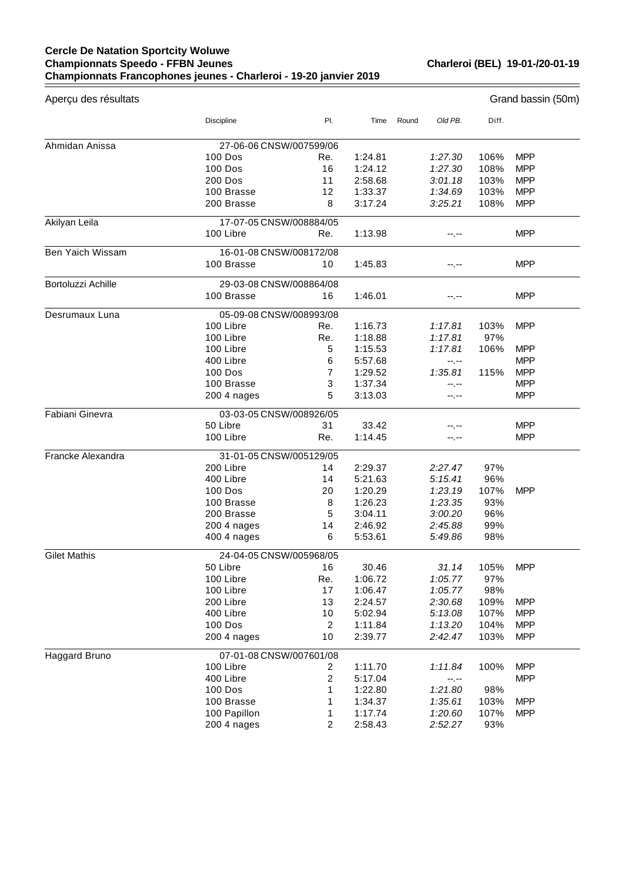## **Cercle De Natation Sportcity Woluwe Championnats Speedo - FFBN Jeunes Championnats Francophones jeunes - Charleroi - 19-20 janvier 2019**

**Charleroi (BEL) 19-01-/20-01-19**

 $=$ 

| Aperçu des résultats | Grand bassin (50m)      |                |                    |       |                    |            |                   |
|----------------------|-------------------------|----------------|--------------------|-------|--------------------|------------|-------------------|
|                      | Discipline              | PI.            | Time               | Round | Old PB.            | Diff.      |                   |
| Ahmidan Anissa       | 27-06-06 CNSW/007599/06 |                |                    |       |                    |            |                   |
|                      | <b>100 Dos</b>          | Re.            | 1:24.81            |       | 1:27.30            | 106%       | <b>MPP</b>        |
|                      | 100 Dos                 | 16             | 1:24.12            |       | 1:27.30            | 108%       | <b>MPP</b>        |
|                      | <b>200 Dos</b>          | 11             | 2:58.68            |       | 3:01.18            | 103%       | <b>MPP</b>        |
|                      | 100 Brasse              | 12             | 1:33.37            |       | 1:34.69            | 103%       | <b>MPP</b>        |
|                      | 200 Brasse              | 8              | 3:17.24            |       | 3:25.21            | 108%       | <b>MPP</b>        |
| Akilyan Leila        | 17-07-05 CNSW/008884/05 |                |                    |       |                    |            |                   |
|                      | 100 Libre               | Re.            | 1:13.98            |       | --.--              |            | <b>MPP</b>        |
| Ben Yaich Wissam     | 16-01-08 CNSW/008172/08 |                |                    |       |                    |            |                   |
|                      | 100 Brasse              | 10             | 1:45.83            |       | --.--              |            | <b>MPP</b>        |
| Bortoluzzi Achille   | 29-03-08 CNSW/008864/08 |                |                    |       |                    |            |                   |
|                      | 100 Brasse              | 16             | 1:46.01            |       |                    |            | <b>MPP</b>        |
| Desrumaux Luna       | 05-09-08 CNSW/008993/08 |                |                    |       |                    |            |                   |
|                      | 100 Libre               | Re.            | 1:16.73            |       | 1:17.81            | 103%       | <b>MPP</b>        |
|                      | 100 Libre               | Re.            | 1:18.88            |       | 1:17.81            | 97%        |                   |
|                      | 100 Libre               | 5              | 1:15.53            |       | 1:17.81            | 106%       | <b>MPP</b>        |
|                      | 400 Libre               | 6              | 5:57.68            |       | --.--              |            | <b>MPP</b>        |
|                      | <b>100 Dos</b>          | $\overline{7}$ | 1:29.52            |       | 1:35.81            | 115%       | <b>MPP</b>        |
|                      | 100 Brasse              | 3              | 1:37.34            |       | --.--              |            | <b>MPP</b>        |
|                      | 200 4 nages             | 5              | 3:13.03            |       | --.--              |            | <b>MPP</b>        |
| Fabiani Ginevra      | 03-03-05 CNSW/008926/05 |                |                    |       |                    |            |                   |
|                      | 50 Libre<br>100 Libre   | 31<br>Re.      | 33.42<br>1:14.45   |       | --.--              |            | MPP<br><b>MPP</b> |
|                      |                         |                |                    |       |                    |            |                   |
| Francke Alexandra    | 31-01-05 CNSW/005129/05 |                |                    |       |                    |            |                   |
|                      | 200 Libre               | 14             | 2:29.37            |       | 2:27.47            | 97%        |                   |
|                      | 400 Libre               | 14             | 5:21.63            |       | 5:15.41            | 96%        |                   |
|                      | <b>100 Dos</b>          | 20             | 1:20.29            |       | 1:23.19            | 107%       | <b>MPP</b>        |
|                      | 100 Brasse              | 8              | 1:26.23            |       | 1:23.35<br>3:00.20 | 93%        |                   |
|                      | 200 Brasse              | 5              | 3:04.11<br>2:46.92 |       |                    | 96%        |                   |
|                      | 200 4 nages             | 14<br>6        | 5:53.61            |       | 2:45.88            | 99%<br>98% |                   |
|                      | 400 4 nages             |                |                    |       | 5:49.86            |            |                   |
| <b>Gilet Mathis</b>  | 24-04-05 CNSW/005968/05 |                |                    |       |                    |            |                   |
|                      | 50 Libre                | 16             | 30.46              |       | 31.14              | 105%       | <b>MPP</b>        |
|                      | 100 Libre               | Re.            | 1:06.72            |       | 1:05.77            | 97%        |                   |
|                      | 100 Libre               | 17             | 1:06.47            |       | 1:05.77            | 98%        |                   |
|                      | 200 Libre               | 13             | 2:24.57            |       | 2:30.68            | 109%       | <b>MPP</b>        |
|                      | 400 Libre               | 10             | 5:02.94            |       | 5:13.08            | 107%       | <b>MPP</b>        |
|                      | 100 Dos                 | $\overline{c}$ | 1:11.84            |       | 1:13.20            | 104%       | <b>MPP</b>        |
|                      | 200 4 nages             | 10             | 2:39.77            |       | 2:42.47            | 103%       | <b>MPP</b>        |
| Haggard Bruno        | 07-01-08 CNSW/007601/08 |                |                    |       |                    |            |                   |
|                      | 100 Libre               | 2              | 1:11.70            |       | 1:11.84            | 100%       | <b>MPP</b>        |
|                      | 400 Libre               | $\sqrt{2}$     | 5:17.04            |       | $-1, -1$           |            | <b>MPP</b>        |
|                      | 100 Dos                 | 1              | 1:22.80            |       | 1:21.80            | 98%        |                   |
|                      | 100 Brasse              | 1              | 1:34.37            |       | 1:35.61            | 103%       | <b>MPP</b>        |
|                      | 100 Papillon            | 1              | 1:17.74            |       | 1:20.60            | 107%       | <b>MPP</b>        |
|                      | 200 4 nages             | $\overline{c}$ | 2:58.43            |       | 2:52.27            | 93%        |                   |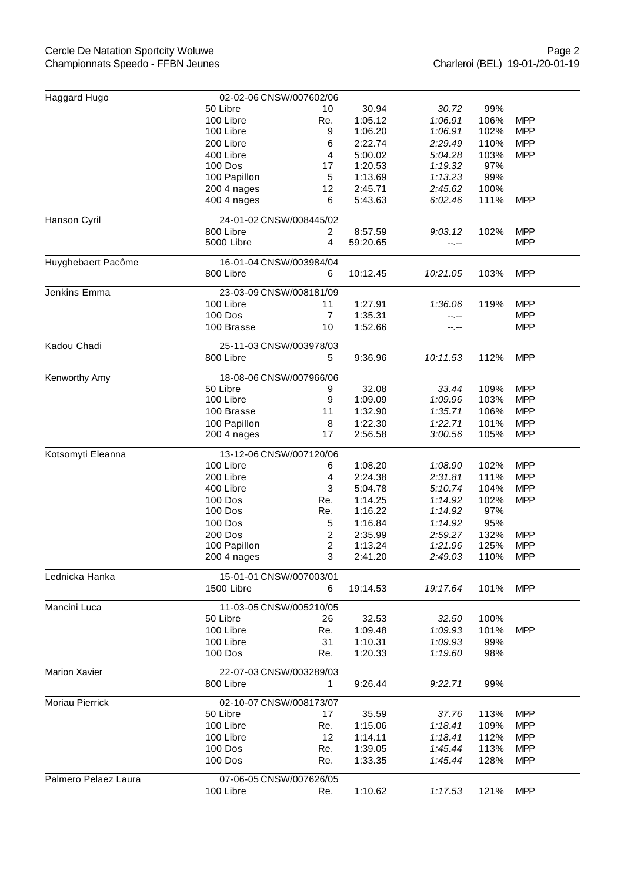| Haggard Hugo         | 02-02-06 CNSW/007602/06 |                |          |          |             |            |  |  |
|----------------------|-------------------------|----------------|----------|----------|-------------|------------|--|--|
|                      | 50 Libre                | 10             | 30.94    | 30.72    | 99%         |            |  |  |
|                      | 100 Libre               | Re.            | 1:05.12  | 1:06.91  | 106%        | <b>MPP</b> |  |  |
|                      | 100 Libre               | 9              | 1:06.20  | 1:06.91  | 102%        | <b>MPP</b> |  |  |
|                      | 200 Libre               | 6              | 2:22.74  | 2:29.49  | 110%        | <b>MPP</b> |  |  |
|                      | 400 Libre               | 4              | 5:00.02  | 5:04.28  | 103%        | <b>MPP</b> |  |  |
|                      | 100 Dos                 | 17             | 1:20.53  | 1:19.32  | 97%         |            |  |  |
|                      | 100 Papillon            | 5              | 1:13.69  | 1:13.23  | 99%         |            |  |  |
|                      | 200 4 nages             | 12             | 2:45.71  | 2:45.62  | 100%        |            |  |  |
|                      | 400 4 nages             | 6              | 5:43.63  | 6:02.46  | 111%        | <b>MPP</b> |  |  |
|                      |                         |                |          |          |             |            |  |  |
| Hanson Cyril         | 24-01-02 CNSW/008445/02 |                |          |          |             |            |  |  |
|                      | 800 Libre               | $\overline{2}$ | 8:57.59  | 9:03.12  | 102%        | <b>MPP</b> |  |  |
|                      | 5000 Libre              | 4              | 59:20.65 | --.--    |             | <b>MPP</b> |  |  |
|                      |                         |                |          |          |             |            |  |  |
| Huyghebaert Pacôme   | 16-01-04 CNSW/003984/04 |                |          |          |             |            |  |  |
|                      | 800 Libre               | 6              | 10:12.45 | 10:21.05 | 103%        | <b>MPP</b> |  |  |
| Jenkins Emma         | 23-03-09 CNSW/008181/09 |                |          |          |             |            |  |  |
|                      | 100 Libre               | 11             | 1:27.91  | 1:36.06  | 119%        | <b>MPP</b> |  |  |
|                      | <b>100 Dos</b>          | 7              | 1:35.31  | --.--    |             | <b>MPP</b> |  |  |
|                      | 100 Brasse              | 10             | 1:52.66  | --.--    |             | <b>MPP</b> |  |  |
|                      |                         |                |          |          |             |            |  |  |
| Kadou Chadi          | 25-11-03 CNSW/003978/03 |                |          |          |             |            |  |  |
|                      | 800 Libre               | 5              | 9:36.96  | 10:11.53 | 112%        | <b>MPP</b> |  |  |
|                      |                         |                |          |          |             |            |  |  |
| Kenworthy Amy        | 18-08-06 CNSW/007966/06 |                |          |          |             |            |  |  |
|                      | 50 Libre                | 9              | 32.08    | 33.44    | 109%        | <b>MPP</b> |  |  |
|                      | 100 Libre               | 9              | 1:09.09  | 1:09.96  | 103%        | <b>MPP</b> |  |  |
|                      | 100 Brasse              | 11             | 1:32.90  | 1:35.71  | 106%        | <b>MPP</b> |  |  |
|                      | 100 Papillon            | 8              | 1:22.30  | 1:22.71  | 101%        | <b>MPP</b> |  |  |
|                      | 200 4 nages             | 17             | 2:56.58  | 3:00.56  | 105%        | <b>MPP</b> |  |  |
| Kotsomyti Eleanna    | 13-12-06 CNSW/007120/06 |                |          |          |             |            |  |  |
|                      | 100 Libre               | 6              | 1:08.20  | 1:08.90  | 102%        | <b>MPP</b> |  |  |
|                      | 200 Libre               | 4              | 2:24.38  | 2:31.81  | 111%        | <b>MPP</b> |  |  |
|                      | 400 Libre               | 3              | 5:04.78  | 5:10.74  | 104%        | <b>MPP</b> |  |  |
|                      |                         |                |          |          |             |            |  |  |
|                      | <b>100 Dos</b>          | Re.            | 1:14.25  | 1:14.92  | 102%<br>97% | <b>MPP</b> |  |  |
|                      | 100 Dos                 | Re.            | 1:16.22  | 1:14.92  |             |            |  |  |
|                      | <b>100 Dos</b>          | 5              | 1:16.84  | 1:14.92  | 95%         |            |  |  |
|                      | 200 Dos                 | 2              | 2:35.99  | 2:59.27  | 132%        | <b>MPP</b> |  |  |
|                      | 100 Papillon            | 2              | 1:13.24  | 1:21.96  | 125%        | <b>MPP</b> |  |  |
|                      | 200 4 nages             | 3              | 2:41.20  | 2:49.03  | 110%        | <b>MPP</b> |  |  |
| Lednicka Hanka       | 15-01-01 CNSW/007003/01 |                |          |          |             |            |  |  |
|                      | 1500 Libre              | 6              | 19:14.53 | 19:17.64 | 101%        | <b>MPP</b> |  |  |
|                      |                         |                |          |          |             |            |  |  |
| Mancini Luca         | 11-03-05 CNSW/005210/05 |                |          |          |             |            |  |  |
|                      | 50 Libre                | 26             | 32.53    | 32.50    | 100%        |            |  |  |
|                      | 100 Libre               | Re.            | 1:09.48  | 1:09.93  | 101%        | <b>MPP</b> |  |  |
|                      | 100 Libre               | 31             | 1:10.31  | 1:09.93  | 99%         |            |  |  |
|                      | 100 Dos                 | Re.            | 1:20.33  | 1:19.60  | 98%         |            |  |  |
|                      |                         |                |          |          |             |            |  |  |
| <b>Marion Xavier</b> | 22-07-03 CNSW/003289/03 |                |          |          |             |            |  |  |
|                      | 800 Libre               | 1.             | 9:26.44  | 9:22.71  | 99%         |            |  |  |
| Moriau Pierrick      |                         |                |          |          |             |            |  |  |
|                      |                         |                |          |          |             |            |  |  |
|                      | 02-10-07 CNSW/008173/07 |                |          |          |             |            |  |  |
|                      | 50 Libre                | 17             | 35.59    | 37.76    | 113%        | <b>MPP</b> |  |  |
|                      | 100 Libre               | Re.            | 1:15.06  | 1:18.41  | 109%        | <b>MPP</b> |  |  |
|                      | 100 Libre               | 12             | 1:14.11  | 1:18.41  | 112%        | <b>MPP</b> |  |  |
|                      | 100 Dos                 | Re.            | 1:39.05  | 1:45.44  | 113%        | <b>MPP</b> |  |  |
|                      | 100 Dos                 | Re.            | 1:33.35  | 1:45.44  | 128%        | <b>MPP</b> |  |  |
| Palmero Pelaez Laura | 07-06-05 CNSW/007626/05 |                | 1:10.62  |          |             |            |  |  |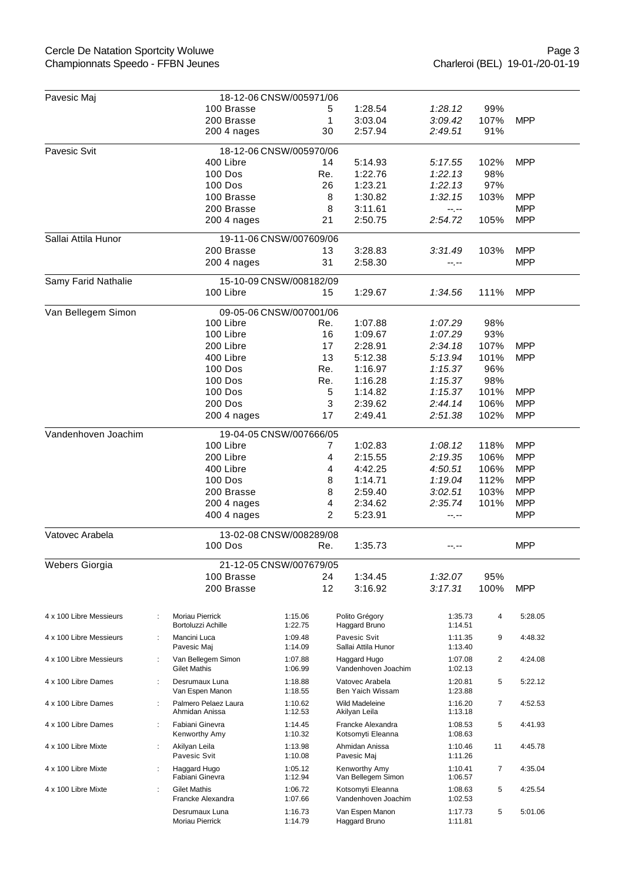## Cercle De Natation Sportcity Woluwe Championnats Speedo - FFBN Jeunes

| Pavesic Maj                                    |                                                     | 18-12-06 CNSW/005971/06 |     |                                          |                    |      |            |  |  |  |
|------------------------------------------------|-----------------------------------------------------|-------------------------|-----|------------------------------------------|--------------------|------|------------|--|--|--|
|                                                | 100 Brasse                                          |                         | 5   | 1:28.54                                  | 1:28.12            | 99%  |            |  |  |  |
|                                                | 200 Brasse                                          |                         | 1   | 3:03.04                                  | 3:09.42            | 107% | <b>MPP</b> |  |  |  |
|                                                | 200 4 nages                                         |                         | 30  | 2:57.94                                  | 2:49.51            | 91%  |            |  |  |  |
| Pavesic Svit<br>18-12-06 CNSW/005970/06        |                                                     |                         |     |                                          |                    |      |            |  |  |  |
|                                                | 400 Libre                                           |                         | 14  | 5:14.93                                  | 5:17.55            | 102% | <b>MPP</b> |  |  |  |
|                                                | <b>100 Dos</b>                                      |                         | Re. | 1:22.76                                  | 1:22.13            | 98%  |            |  |  |  |
|                                                | <b>100 Dos</b>                                      |                         | 26  | 1:23.21                                  | 1:22.13            | 97%  |            |  |  |  |
|                                                | 100 Brasse                                          |                         | 8   | 1:30.82                                  | 1:32.15            | 103% | <b>MPP</b> |  |  |  |
|                                                | 200 Brasse                                          |                         | 8   | 3:11.61                                  | $-1, -1$           |      | <b>MPP</b> |  |  |  |
|                                                | 200 4 nages                                         |                         | 21  | 2:50.75                                  | 2:54.72            | 105% | <b>MPP</b> |  |  |  |
| Sallai Attila Hunor                            |                                                     | 19-11-06 CNSW/007609/06 |     |                                          |                    |      |            |  |  |  |
|                                                | 200 Brasse                                          |                         | 13  | 3:28.83                                  | 3:31.49            | 103% | <b>MPP</b> |  |  |  |
|                                                | 200 4 nages                                         |                         | 31  | 2:58.30                                  | --.--              |      | <b>MPP</b> |  |  |  |
| Samy Farid Nathalie<br>15-10-09 CNSW/008182/09 |                                                     |                         |     |                                          |                    |      |            |  |  |  |
|                                                | 100 Libre                                           |                         | 15  | 1:29.67                                  | 1:34.56            | 111% | <b>MPP</b> |  |  |  |
|                                                |                                                     |                         |     |                                          |                    |      |            |  |  |  |
| Van Bellegem Simon                             |                                                     | 09-05-06 CNSW/007001/06 |     |                                          |                    |      |            |  |  |  |
|                                                | 100 Libre                                           |                         | Re. | 1:07.88                                  | 1:07.29            | 98%  |            |  |  |  |
|                                                | 100 Libre                                           |                         | 16  | 1:09.67                                  | 1:07.29            | 93%  |            |  |  |  |
|                                                | 200 Libre                                           |                         | 17  | 2:28.91                                  | 2:34.18            | 107% | <b>MPP</b> |  |  |  |
|                                                | 400 Libre                                           |                         | 13  | 5:12.38                                  | 5:13.94            | 101% | <b>MPP</b> |  |  |  |
|                                                | <b>100 Dos</b>                                      |                         | Re. | 1:16.97                                  | 1:15.37            | 96%  |            |  |  |  |
|                                                | 100 Dos                                             |                         | Re. | 1:16.28                                  | 1:15.37            | 98%  |            |  |  |  |
|                                                | 100 Dos                                             |                         | 5   | 1:14.82                                  | 1:15.37            | 101% | <b>MPP</b> |  |  |  |
|                                                | 200 Dos                                             |                         | 3   | 2:39.62                                  | 2:44.14            | 106% | <b>MPP</b> |  |  |  |
|                                                | 200 4 nages                                         |                         | 17  | 2:49.41                                  | 2:51.38            | 102% | <b>MPP</b> |  |  |  |
| Vandenhoven Joachim                            |                                                     | 19-04-05 CNSW/007666/05 |     |                                          |                    |      |            |  |  |  |
|                                                | 100 Libre                                           |                         | 7   | 1:02.83                                  | 1:08.12            | 118% | <b>MPP</b> |  |  |  |
|                                                | 200 Libre                                           |                         | 4   | 2:15.55                                  | 2:19.35            | 106% | <b>MPP</b> |  |  |  |
|                                                | 400 Libre                                           |                         | 4   | 4:42.25                                  | 4:50.51            | 106% | <b>MPP</b> |  |  |  |
|                                                | 100 Dos                                             |                         | 8   | 1:14.71                                  | 1:19.04            | 112% | <b>MPP</b> |  |  |  |
|                                                | 200 Brasse                                          |                         | 8   | 2:59.40                                  | 3:02.51            | 103% | <b>MPP</b> |  |  |  |
|                                                | 200 4 nages                                         |                         | 4   | 2:34.62                                  | 2:35.74            | 101% | <b>MPP</b> |  |  |  |
|                                                | 400 4 nages                                         |                         | 2   | 5:23.91                                  | --.--              |      | <b>MPP</b> |  |  |  |
| Vatovec Arabela                                |                                                     | 13-02-08 CNSW/008289/08 |     |                                          |                    |      |            |  |  |  |
|                                                | 100 Dos                                             |                         | Re. | 1:35.73                                  | --.--              |      | MPP        |  |  |  |
|                                                |                                                     |                         |     |                                          |                    |      |            |  |  |  |
| Webers Giorgia                                 | 100 Brasse                                          | 21-12-05 CNSW/007679/05 | 24  | 1:34.45                                  | 1:32.07            | 95%  |            |  |  |  |
|                                                | 200 Brasse                                          |                         | 12  | 3:16.92                                  | 3:17.31            | 100% | <b>MPP</b> |  |  |  |
|                                                |                                                     |                         |     |                                          |                    |      |            |  |  |  |
| 4 x 100 Libre Messieurs                        | Moriau Pierrick<br>÷<br>Bortoluzzi Achille          | 1:15.06<br>1:22.75      |     | Polito Grégory<br>Haggard Bruno          | 1:35.73<br>1:14.51 | 4    | 5:28.05    |  |  |  |
| 4 x 100 Libre Messieurs                        | Mancini Luca<br>$\ddot{\phantom{a}}$<br>Pavesic Maj | 1:09.48<br>1:14.09      |     | Pavesic Svit<br>Sallai Attila Hunor      | 1:11.35<br>1:13.40 | 9    | 4:48.32    |  |  |  |
| 4 x 100 Libre Messieurs                        | ÷<br>Van Bellegem Simon<br><b>Gilet Mathis</b>      | 1:07.88<br>1:06.99      |     | Haggard Hugo<br>Vandenhoven Joachim      | 1:07.08<br>1:02.13 | 2    | 4:24.08    |  |  |  |
| 4 x 100 Libre Dames                            | Desrumaux Luna<br>÷<br>Van Espen Manon              | 1:18.88<br>1:18.55      |     | Vatovec Arabela<br>Ben Yaich Wissam      | 1:20.81<br>1:23.88 | 5    | 5:22.12    |  |  |  |
| 4 x 100 Libre Dames                            | Palmero Pelaez Laura<br>÷<br>Ahmidan Anissa         | 1:10.62<br>1:12.53      |     | Wild Madeleine<br>Akilyan Leila          | 1:16.20<br>1:13.18 | 7    | 4:52.53    |  |  |  |
| 4 x 100 Libre Dames                            | Fabiani Ginevra<br>÷<br>Kenworthy Amy               | 1:14.45<br>1:10.32      |     | Francke Alexandra<br>Kotsomyti Eleanna   | 1:08.53<br>1:08.63 | 5    | 4:41.93    |  |  |  |
| 4 x 100 Libre Mixte                            | ÷<br>Akilyan Leila<br>Pavesic Svit                  | 1:13.98<br>1:10.08      |     | Ahmidan Anissa<br>Pavesic Maj            | 1:10.46<br>1:11.26 | 11   | 4:45.78    |  |  |  |
| 4 x 100 Libre Mixte                            | Haggard Hugo<br>Fabiani Ginevra                     | 1:05.12<br>1:12.94      |     | Kenworthy Amy<br>Van Bellegem Simon      | 1:10.41<br>1:06.57 | 7    | 4:35.04    |  |  |  |
| 4 x 100 Libre Mixte                            | <b>Gilet Mathis</b><br>÷<br>Francke Alexandra       | 1:06.72<br>1:07.66      |     | Kotsomyti Eleanna<br>Vandenhoven Joachim | 1:08.63<br>1:02.53 | 5    | 4:25.54    |  |  |  |
|                                                | Desrumaux Luna<br>Moriau Pierrick                   | 1:16.73<br>1:14.79      |     | Van Espen Manon<br>Haggard Bruno         | 1:17.73<br>1:11.81 | 5    | 5:01.06    |  |  |  |